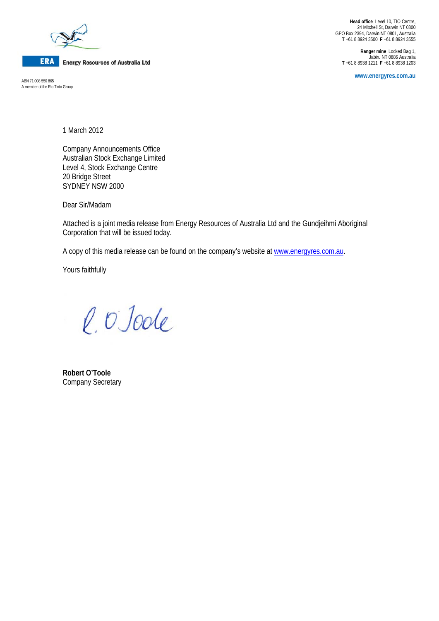

**ERA** Energy Resources of Australia Ltd

A member of the Rio Tinto Group

**Head office** Level 10, TIO Centre, 24 Mitchell St, Darwin NT 0800 GPO Box 2394, Darwin NT 0801, Australia **T** +61 8 8924 3500 **F** +61 8 8924 3555

**Ranger mine** Locked Bag 1, Jabiru NT 0886 Australia **T** +61 8 8938 1211 **F** +61 8 8938 1203

**www.energyres.com.au** ABN 71 008 550 865

1 March 2012

Company Announcements Office Australian Stock Exchange Limited Level 4, Stock Exchange Centre 20 Bridge Street SYDNEY NSW 2000

Dear Sir/Madam

Attached is a joint media release from Energy Resources of Australia Ltd and the Gundjeihmi Aboriginal Corporation that will be issued today.

A copy of this media release can be found on the company's website at www.energyres.com.au.

Yours faithfully

l. O Joole

**Robert O'Toole**  Company Secretary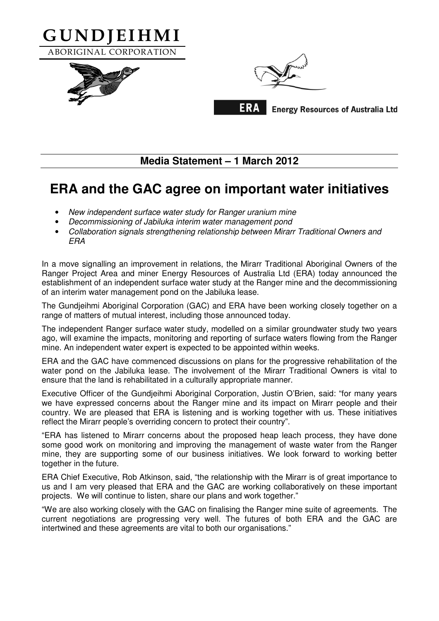

## **Media Statement – 1 March 2012**

## **ERA and the GAC agree on important water initiatives**

- New independent surface water study for Ranger uranium mine
- Decommissioning of Jabiluka interim water management pond
- Collaboration signals strengthening relationship between Mirarr Traditional Owners and **FRA**

In a move signalling an improvement in relations, the Mirarr Traditional Aboriginal Owners of the Ranger Project Area and miner Energy Resources of Australia Ltd (ERA) today announced the establishment of an independent surface water study at the Ranger mine and the decommissioning of an interim water management pond on the Jabiluka lease.

The Gundjeihmi Aboriginal Corporation (GAC) and ERA have been working closely together on a range of matters of mutual interest, including those announced today.

The independent Ranger surface water study, modelled on a similar groundwater study two years ago, will examine the impacts, monitoring and reporting of surface waters flowing from the Ranger mine. An independent water expert is expected to be appointed within weeks.

ERA and the GAC have commenced discussions on plans for the progressive rehabilitation of the water pond on the Jabiluka lease. The involvement of the Mirarr Traditional Owners is vital to ensure that the land is rehabilitated in a culturally appropriate manner.

Executive Officer of the Gundjeihmi Aboriginal Corporation, Justin O'Brien, said: "for many years we have expressed concerns about the Ranger mine and its impact on Mirarr people and their country. We are pleased that ERA is listening and is working together with us. These initiatives reflect the Mirarr people's overriding concern to protect their country".

"ERA has listened to Mirarr concerns about the proposed heap leach process, they have done some good work on monitoring and improving the management of waste water from the Ranger mine, they are supporting some of our business initiatives. We look forward to working better together in the future.

ERA Chief Executive, Rob Atkinson, said, "the relationship with the Mirarr is of great importance to us and I am very pleased that ERA and the GAC are working collaboratively on these important projects. We will continue to listen, share our plans and work together."

"We are also working closely with the GAC on finalising the Ranger mine suite of agreements. The current negotiations are progressing very well. The futures of both ERA and the GAC are intertwined and these agreements are vital to both our organisations."